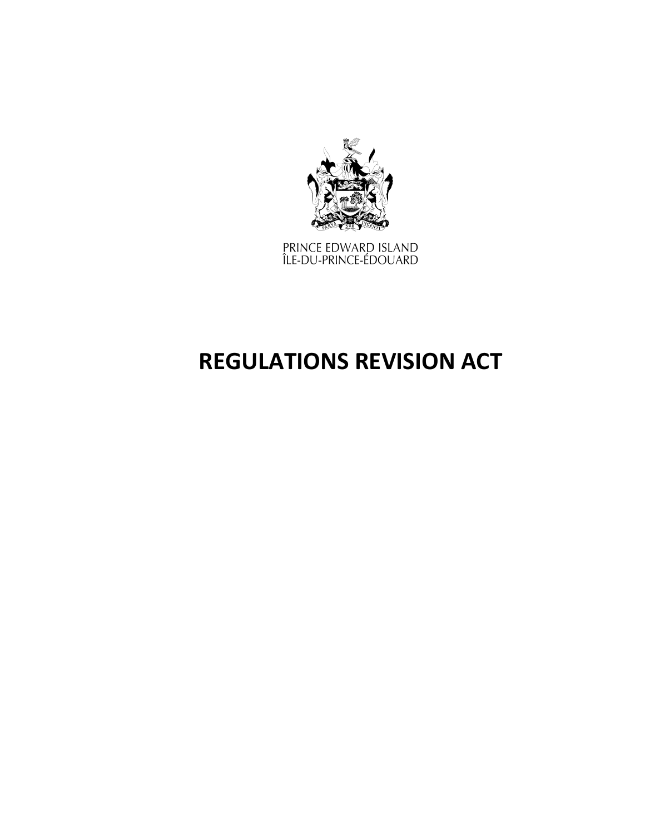

PRINCE EDWARD ISLAND<br>ÎLE-DU-PRINCE-ÉDOUARD

# **REGULATIONS REVISION ACT**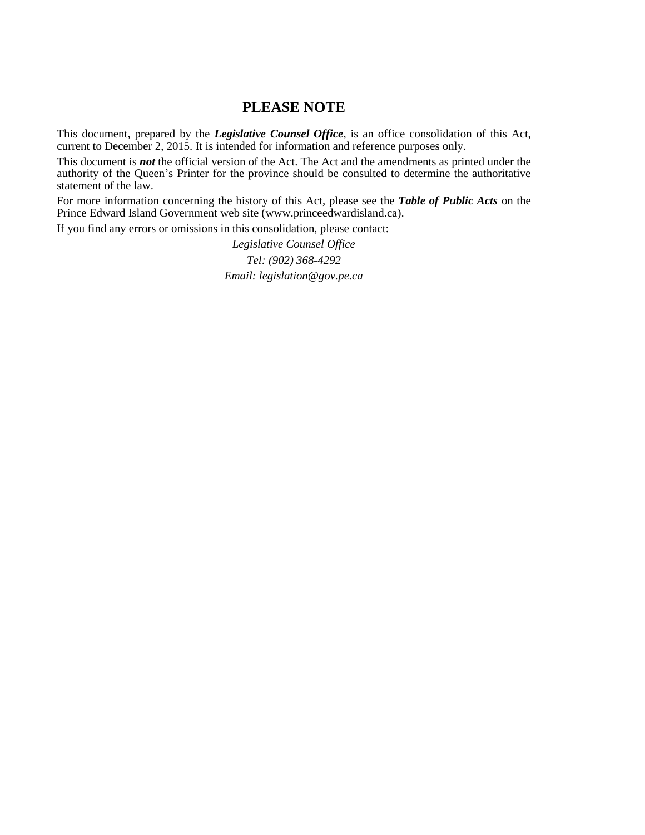### **PLEASE NOTE**

This document, prepared by the *[Legislative](http://www.gov.pe.ca/jps/index.php3?number=1027247) Counsel Office*, is an office consolidation of this Act, current to December 2, 2015. It is intended for information and reference purposes only.

This document is *not* the official version of the Act. The Act and the amendments as printed under the authority of the Queen's Printer for the province should be consulted to determine the authoritative statement of the law.

For more information concerning the history of this Act, please see the *[Table of Public Acts](https://www.princeedwardisland.ca/sites/default/files/publications/leg_table_acts.pdf)* on the Prince Edward Island Government web site (www.princeedwardisland.ca).

If you find any errors or omissions in this consolidation, please contact:

*Legislative Counsel Office Tel: (902) 368-4292 Email: legislation@gov.pe.ca*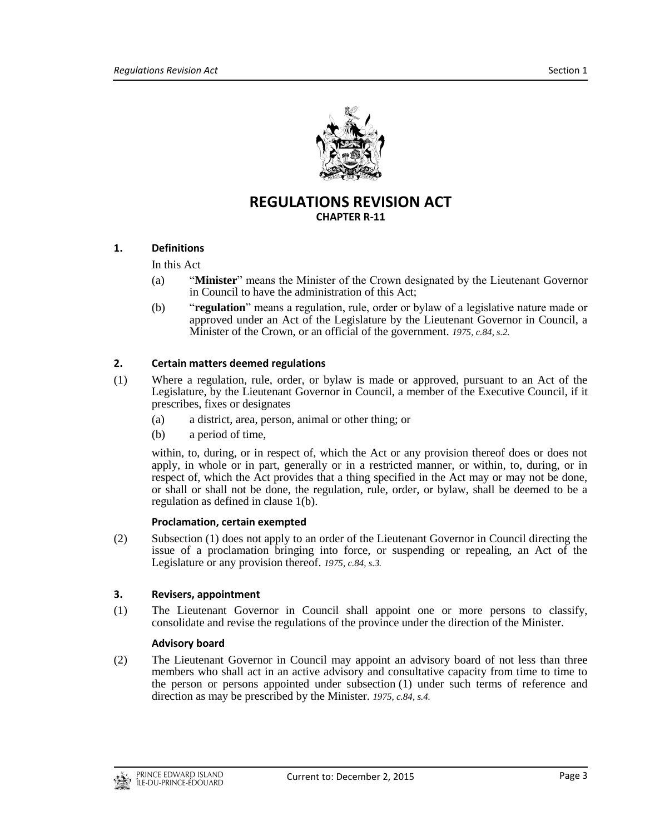

## **REGULATIONS REVISION ACT CHAPTER R-11**

#### **1. Definitions**

In this Act

- (a) "**Minister**" means the Minister of the Crown designated by the Lieutenant Governor in Council to have the administration of this Act;
- (b) "**regulation**" means a regulation, rule, order or bylaw of a legislative nature made or approved under an Act of the Legislature by the Lieutenant Governor in Council, a Minister of the Crown, or an official of the government. *1975, c.84, s.2.*

#### **2. Certain matters deemed regulations**

- (1) Where a regulation, rule, order, or bylaw is made or approved, pursuant to an Act of the Legislature, by the Lieutenant Governor in Council, a member of the Executive Council, if it prescribes, fixes or designates
	- (a) a district, area, person, animal or other thing; or
	- (b) a period of time,

within, to, during, or in respect of, which the Act or any provision thereof does or does not apply, in whole or in part, generally or in a restricted manner, or within, to, during, or in respect of, which the Act provides that a thing specified in the Act may or may not be done, or shall or shall not be done, the regulation, rule, order, or bylaw, shall be deemed to be a regulation as defined in clause 1(b).

#### **Proclamation, certain exempted**

(2) Subsection (1) does not apply to an order of the Lieutenant Governor in Council directing the issue of a proclamation bringing into force, or suspending or repealing, an Act of the Legislature or any provision thereof. *1975, c.84, s.3.*

#### **3. Revisers, appointment**

(1) The Lieutenant Governor in Council shall appoint one or more persons to classify, consolidate and revise the regulations of the province under the direction of the Minister.

#### **Advisory board**

(2) The Lieutenant Governor in Council may appoint an advisory board of not less than three members who shall act in an active advisory and consultative capacity from time to time to the person or persons appointed under subsection (1) under such terms of reference and direction as may be prescribed by the Minister. *1975, c.84, s.4.*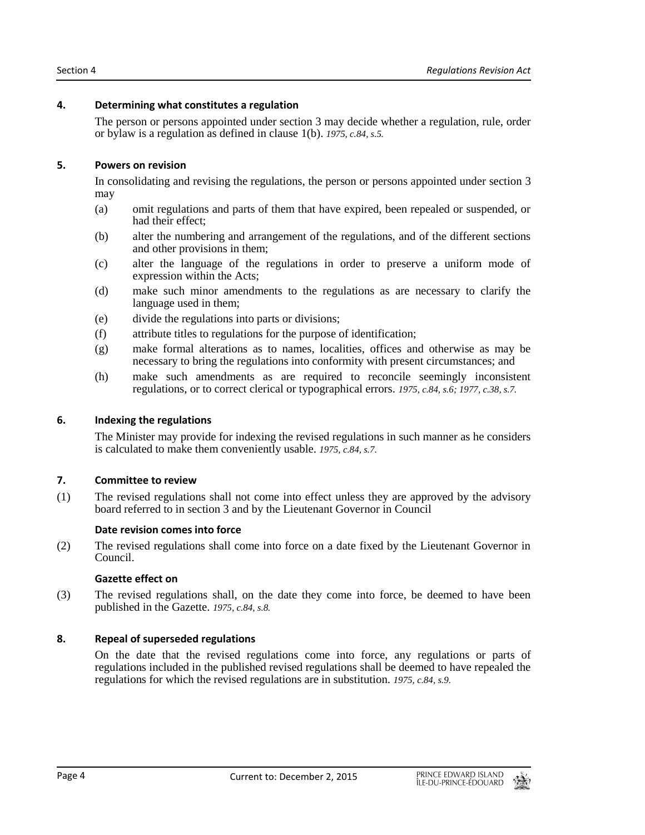#### **4. Determining what constitutes a regulation**

The person or persons appointed under section 3 may decide whether a regulation, rule, order or bylaw is a regulation as defined in clause 1(b). *1975, c.84, s.5.*

#### **5. Powers on revision**

In consolidating and revising the regulations, the person or persons appointed under section 3 may

- (a) omit regulations and parts of them that have expired, been repealed or suspended, or had their effect;
- (b) alter the numbering and arrangement of the regulations, and of the different sections and other provisions in them;
- (c) alter the language of the regulations in order to preserve a uniform mode of expression within the Acts;
- (d) make such minor amendments to the regulations as are necessary to clarify the language used in them;
- (e) divide the regulations into parts or divisions;
- (f) attribute titles to regulations for the purpose of identification;
- (g) make formal alterations as to names, localities, offices and otherwise as may be necessary to bring the regulations into conformity with present circumstances; and
- (h) make such amendments as are required to reconcile seemingly inconsistent regulations, or to correct clerical or typographical errors. *1975, c.84, s.6; 1977, c.38, s.7.*

#### **6. Indexing the regulations**

The Minister may provide for indexing the revised regulations in such manner as he considers is calculated to make them conveniently usable. *1975, c.84, s.7.*

#### **7. Committee to review**

(1) The revised regulations shall not come into effect unless they are approved by the advisory board referred to in section 3 and by the Lieutenant Governor in Council

#### **Date revision comes into force**

(2) The revised regulations shall come into force on a date fixed by the Lieutenant Governor in Council.

#### **Gazette effect on**

(3) The revised regulations shall, on the date they come into force, be deemed to have been published in the Gazette. *1975, c.84, s.8.*

#### **8. Repeal of superseded regulations**

On the date that the revised regulations come into force, any regulations or parts of regulations included in the published revised regulations shall be deemed to have repealed the regulations for which the revised regulations are in substitution. *1975, c.84, s.9.*